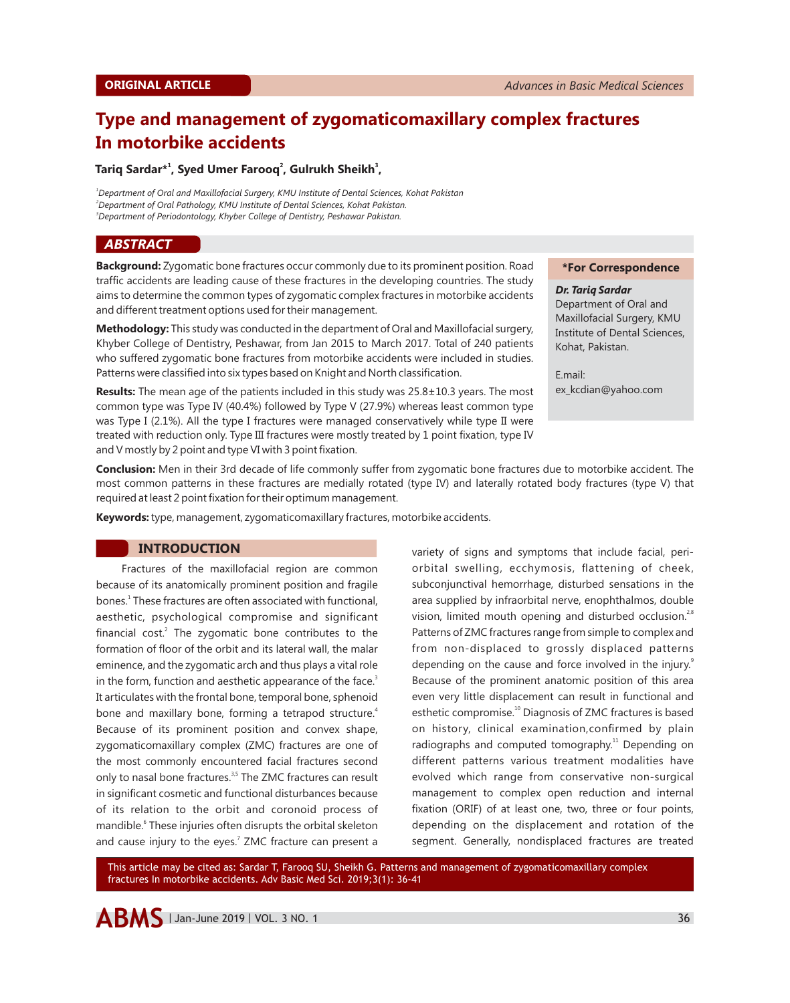# **Type and management of zygomaticomaxillary complex fractures In motorbike accidents**

#### **1 2 3 Tariq Sardar\* , Syed Umer Farooq , Gulrukh Sheikh ,**

*<sup>1</sup>Department of Oral and Maxillofacial Surgery, KMU Institute of Dental Sciences, Kohat Pakistan <sup>2</sup>Department of Oral Pathology, KMU Institute of Dental Sciences, Kohat Pakistan. <sup>3</sup>Department of Periodontology, Khyber College of Dentistry, Peshawar Pakistan.*

## *ABSTRACT*

**Background:** Zygomatic bone fractures occur commonly due to its prominent position. Road traffic accidents are leading cause of these fractures in the developing countries. The study aims to determine the common types of zygomatic complex fractures in motorbike accidents and different treatment options used for their management.

**Methodology:** This study was conducted in the department of Oral and Maxillofacial surgery, Khyber College of Dentistry, Peshawar, from Jan 2015 to March 2017. Total of 240 patients who suffered zygomatic bone fractures from motorbike accidents were included in studies. Patterns were classified into six types based on Knight and North classification.

**Results:** The mean age of the patients included in this study was 25.8±10.3 years. The most common type was Type IV (40.4%) followed by Type V (27.9%) whereas least common type was Type I (2.1%). All the type I fractures were managed conservatively while type II were treated with reduction only. Type III fractures were mostly treated by 1 point fixation, type IV and V mostly by 2 point and type VI with 3 point fixation.

#### **\*For Correspondence**

*Dr. Tariq Sardar* Department of Oral and Maxillofacial Surgery, KMU Institute of Dental Sciences, Kohat, Pakistan.

E.mail: ex\_kcdian@yahoo.com

**Conclusion:** Men in their 3rd decade of life commonly suffer from zygomatic bone fractures due to motorbike accident. The most common patterns in these fractures are medially rotated (type IV) and laterally rotated body fractures (type V) that required at least 2 point fixation for their optimum management.

**Keywords:**type, management, zygomaticomaxillary fractures, motorbike accidents.

## **INTRODUCTION**

Fractures of the maxillofacial region are common because of its anatomically prominent position and fragile bones.<sup>1</sup> These fractures are often associated with functional, aesthetic, psychological compromise and significant financial cost.<sup>2</sup> The zygomatic bone contributes to the formation of floor of the orbit and its lateral wall, the malar eminence, and the zygomatic arch and thus plays a vital role in the form, function and aesthetic appearance of the face.<sup>3</sup> It articulates with the frontal bone, temporal bone, sphenoid bone and maxillary bone, forming a tetrapod structure.<sup>4</sup> Because of its prominent position and convex shape, zygomaticomaxillary complex (ZMC) fractures are one of the most commonly encountered facial fractures second only to nasal bone fractures.<sup>3,5</sup> The ZMC fractures can result in significant cosmetic and functional disturbances because of its relation to the orbit and coronoid process of mandible.<sup>6</sup> These injuries often disrupts the orbital skeleton and cause injury to the eyes.<sup>7</sup> ZMC fracture can present a variety of signs and symptoms that include facial, periorbital swelling, ecchymosis, flattening of cheek, subconjunctival hemorrhage, disturbed sensations in the area supplied by infraorbital nerve, enophthalmos, double vision, limited mouth opening and disturbed occlusion.<sup>28</sup> Patterns of ZMC fractures range from simple to complex and from non-displaced to grossly displaced patterns depending on the cause and force involved in the injury.<sup>9</sup> Because of the prominent anatomic position of this area even very little displacement can result in functional and esthetic compromise.<sup>10</sup> Diagnosis of ZMC fractures is based on history, clinical examination,confirmed by plain radiographs and computed tomography.<sup>11</sup> Depending on different patterns various treatment modalities have evolved which range from conservative non-surgical management to complex open reduction and internal fixation (ORIF) of at least one, two, three or four points, depending on the displacement and rotation of the segment. Generally, nondisplaced fractures are treated

This article may be cited as: Sardar T, Farooq SU, Sheikh G. Patterns and management of zygomaticomaxillary complex fractures In motorbike accidents. Adv Basic Med Sci. 2019;3(1): 36-41

**ABMS** | Jan-June 2019 | VOL. 3 NO. 1  $36$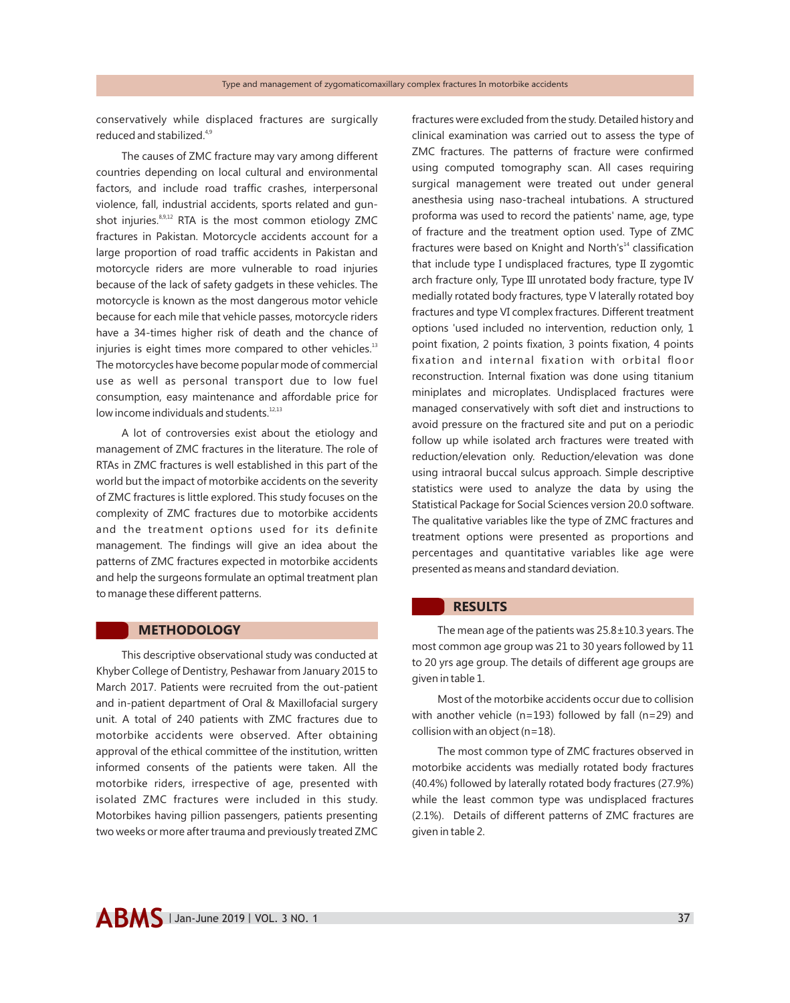conservatively while displaced fractures are surgically reduced and stabilized.<sup>4,9</sup>

The causes of ZMC fracture may vary among different countries depending on local cultural and environmental factors, and include road traffic crashes, interpersonal violence, fall, industrial accidents, sports related and gunshot injuries.<sup>8,9,12</sup> RTA is the most common etiology ZMC fractures in Pakistan. Motorcycle accidents account for a large proportion of road traffic accidents in Pakistan and motorcycle riders are more vulnerable to road injuries because of the lack of safety gadgets in these vehicles. The motorcycle is known as the most dangerous motor vehicle because for each mile that vehicle passes, motorcycle riders have a 34-times higher risk of death and the chance of injuries is eight times more compared to other vehicles.<sup>13</sup> The motorcycles have become popular mode of commercial use as well as personal transport due to low fuel consumption, easy maintenance and affordable price for low income individuals and students.<sup>12,13</sup>

A lot of controversies exist about the etiology and management of ZMC fractures in the literature. The role of RTAs in ZMC fractures is well established in this part of the world but the impact of motorbike accidents on the severity of ZMC fractures is little explored. This study focuses on the complexity of ZMC fractures due to motorbike accidents and the treatment options used for its definite management. The findings will give an idea about the patterns of ZMC fractures expected in motorbike accidents and help the surgeons formulate an optimal treatment plan to manage these different patterns.

## **METHODOLOGY**

This descriptive observational study was conducted at Khyber College of Dentistry, Peshawar from January 2015 to March 2017. Patients were recruited from the out-patient and in-patient department of Oral & Maxillofacial surgery unit. A total of 240 patients with ZMC fractures due to motorbike accidents were observed. After obtaining approval of the ethical committee of the institution, written informed consents of the patients were taken. All the motorbike riders, irrespective of age, presented with isolated ZMC fractures were included in this study. Motorbikes having pillion passengers, patients presenting two weeks or more after trauma and previously treated ZMC

fractures were excluded from the study. Detailed history and clinical examination was carried out to assess the type of ZMC fractures. The patterns of fracture were confirmed using computed tomography scan. All cases requiring surgical management were treated out under general anesthesia using naso-tracheal intubations. A structured proforma was used to record the patients' name, age, type of fracture and the treatment option used. Type of ZMC fractures were based on Knight and North's $<sup>14</sup>$  classification</sup> that include type I undisplaced fractures, type II zygomtic arch fracture only, Type III unrotated body fracture, type IV medially rotated body fractures, type V laterally rotated boy fractures and type VI complex fractures. Different treatment options 'used included no intervention, reduction only, 1 point fixation, 2 points fixation, 3 points fixation, 4 points fixation and internal fixation with orbital floor reconstruction. Internal fixation was done using titanium miniplates and microplates. Undisplaced fractures were managed conservatively with soft diet and instructions to avoid pressure on the fractured site and put on a periodic follow up while isolated arch fractures were treated with reduction/elevation only. Reduction/elevation was done using intraoral buccal sulcus approach. Simple descriptive statistics were used to analyze the data by using the Statistical Package for Social Sciences version 20.0 software. The qualitative variables like the type of ZMC fractures and treatment options were presented as proportions and percentages and quantitative variables like age were presented as means and standard deviation.

## **RESULTS**

The mean age of the patients was  $25.8 \pm 10.3$  years. The most common age group was 21 to 30 years followed by 11 to 20 yrs age group. The details of different age groups are given in table 1.

Most of the motorbike accidents occur due to collision with another vehicle (n=193) followed by fall (n=29) and collision with an object (n=18).

The most common type of ZMC fractures observed in motorbike accidents was medially rotated body fractures (40.4%) followed by laterally rotated body fractures (27.9%) while the least common type was undisplaced fractures (2.1%). Details of different patterns of ZMC fractures are given in table 2.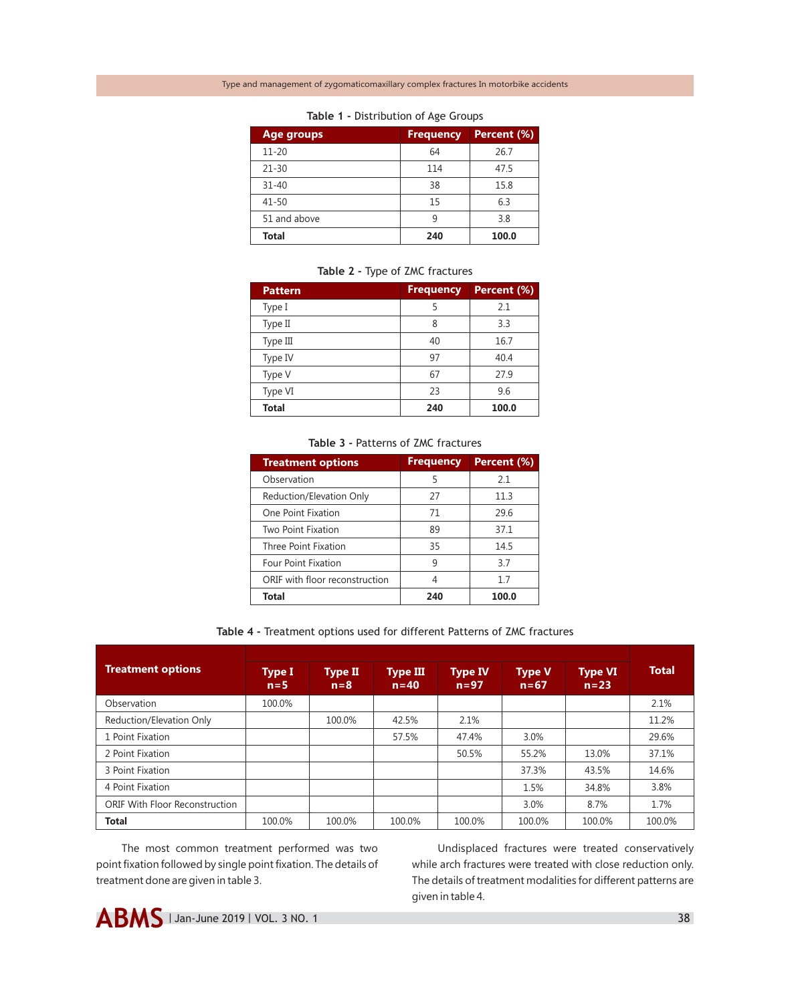| <b>Age groups</b> | <b>Frequency</b> | Percent (%) |
|-------------------|------------------|-------------|
| $11 - 20$         | 64               | 26.7        |
| $21 - 30$         | 114              | 47.5        |
| $31 - 40$         | 38               | 15.8        |
| 41-50             | 15               | 6.3         |
| 51 and above      |                  | 3.8         |
| <b>Total</b>      | 240              | 100.0       |

#### **Table 1 -** Distribution of Age Groups

## **Table 2 -** Type of ZMC fractures

| <b>Pattern</b> | <b>Frequency</b> | Percent (%) |
|----------------|------------------|-------------|
| Type I         | 5                | 2.1         |
| Type II        | 8                | 3.3         |
| Type III       | 40               | 16.7        |
| Type IV        | 97               | 40.4        |
| Type V         | 67               | 27.9        |
| Type VI        | 23               | 9.6         |
| <b>Total</b>   | 240              | 100.0       |

#### **Table 3 -** Patterns of ZMC fractures

| <b>Treatment options</b>       | <b>Frequency</b> | Percent (%) |
|--------------------------------|------------------|-------------|
| Observation                    | 5                | 2.1         |
| Reduction/Elevation Only       | 27               | 11.3        |
| One Point Fixation             | 71               | 29.6        |
| Two Point Fixation             | 89               | 37.1        |
| Three Point Fixation           | 35               | 14.5        |
| <b>Four Point Fixation</b>     | 9                | 3.7         |
| ORIF with floor reconstruction | 4                | 1.7         |
| <b>Total</b>                   | 240              | 100.0       |

### **Table 4 -** Treatment options used for different Patterns of ZMC fractures

| <b>Treatment options</b>       | Type I<br>$n = 5$ | <b>Type II</b><br>$n = 8$ | <b>Type III</b><br>$n = 40$ | <b>Type IV</b><br>$n = 97$ | <b>Type V</b><br>$n=67$ | <b>Type VI</b><br>$n=23$ | <b>Total</b> |
|--------------------------------|-------------------|---------------------------|-----------------------------|----------------------------|-------------------------|--------------------------|--------------|
| Observation                    | 100.0%            |                           |                             |                            |                         |                          | 2.1%         |
| Reduction/Elevation Only       |                   | 100.0%                    | 42.5%                       | 2.1%                       |                         |                          | 11.2%        |
| 1 Point Fixation               |                   |                           | 57.5%                       | 47.4%                      | 3.0%                    |                          | 29.6%        |
| 2 Point Fixation               |                   |                           |                             | 50.5%                      | 55.2%                   | 13.0%                    | 37.1%        |
| 3 Point Fixation               |                   |                           |                             |                            | 37.3%                   | 43.5%                    | 14.6%        |
| 4 Point Fixation               |                   |                           |                             |                            | 1.5%                    | 34.8%                    | 3.8%         |
| ORIF With Floor Reconstruction |                   |                           |                             |                            | 3.0%                    | 8.7%                     | 1.7%         |
| <b>Total</b>                   | 100.0%            | 100.0%                    | 100.0%                      | 100.0%                     | 100.0%                  | 100.0%                   | 100.0%       |

The most common treatment performed was two point fixation followed by single point fixation. The details of treatment done are given in table 3.

Undisplaced fractures were treated conservatively while arch fractures were treated with close reduction only. The details of treatment modalities for different patterns are given in table 4.

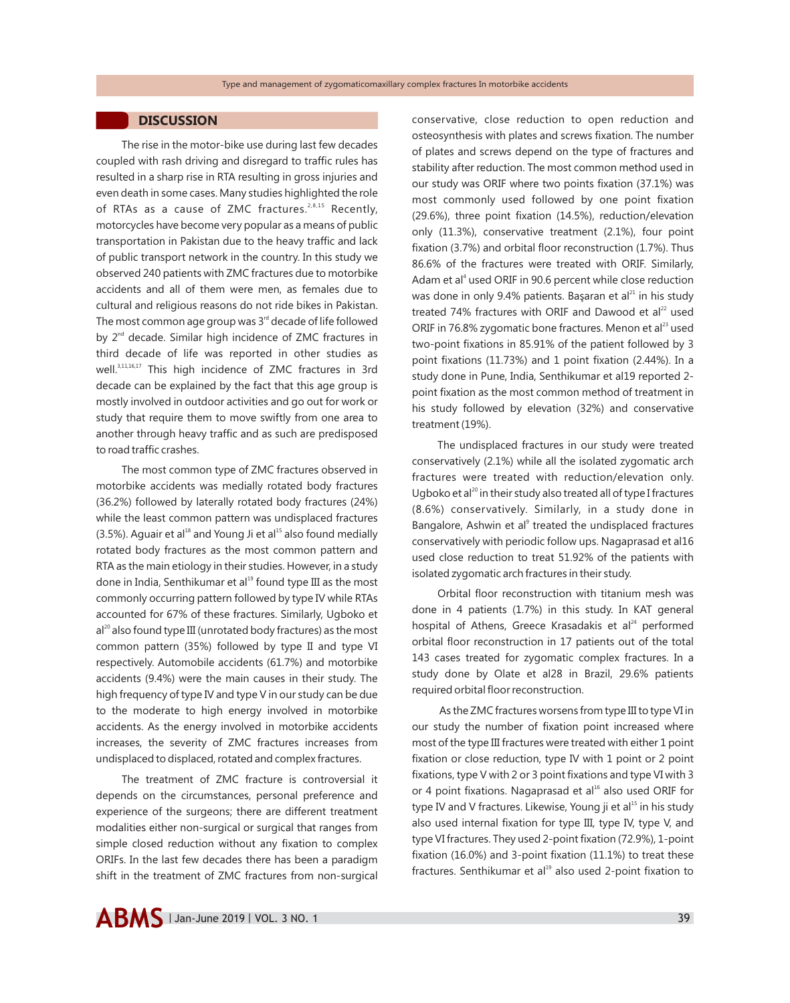## **DISCUSSION**

The rise in the motor-bike use during last few decades coupled with rash driving and disregard to traffic rules has resulted in a sharp rise in RTA resulting in gross injuries and even death in some cases. Many studies highlighted the role of RTAs as a cause of ZMC fractures.<sup>2,8,15</sup> Recently, motorcycles have become very popular as a means of public transportation in Pakistan due to the heavy traffic and lack of public transport network in the country. In this study we observed 240 patients with ZMC fractures due to motorbike accidents and all of them were men, as females due to cultural and religious reasons do not ride bikes in Pakistan. The most common age group was  $3<sup>rd</sup>$  decade of life followed by  $2<sup>nd</sup>$  decade. Similar high incidence of ZMC fractures in third decade of life was reported in other studies as well.<sup>3,11,16,17</sup> This high incidence of ZMC fractures in 3rd decade can be explained by the fact that this age group is mostly involved in outdoor activities and go out for work or study that require them to move swiftly from one area to another through heavy traffic and as such are predisposed to road traffic crashes.

The most common type of ZMC fractures observed in motorbike accidents was medially rotated body fractures (36.2%) followed by laterally rotated body fractures (24%) while the least common pattern was undisplaced fractures  $(3.5\%)$ . Aguair et al<sup>18</sup> and Young Ji et al<sup>15</sup> also found medially rotated body fractures as the most common pattern and RTA as the main etiology in their studies. However, in a study done in India, Senthikumar et al $^{19}$  found type III as the most commonly occurring pattern followed by type IV while RTAs accounted for 67% of these fractures. Similarly, Ugboko et  $al^{20}$  also found type III (unrotated body fractures) as the most common pattern (35%) followed by type II and type VI respectively. Automobile accidents (61.7%) and motorbike accidents (9.4%) were the main causes in their study. The high frequency of type IV and type V in our study can be due to the moderate to high energy involved in motorbike accidents. As the energy involved in motorbike accidents increases, the severity of ZMC fractures increases from undisplaced to displaced, rotated and complex fractures.

The treatment of ZMC fracture is controversial it depends on the circumstances, personal preference and experience of the surgeons; there are different treatment modalities either non-surgical or surgical that ranges from simple closed reduction without any fixation to complex ORIFs. In the last few decades there has been a paradigm shift in the treatment of ZMC fractures from non-surgical conservative, close reduction to open reduction and osteosynthesis with plates and screws fixation. The number of plates and screws depend on the type of fractures and stability after reduction. The most common method used in our study was ORIF where two points fixation (37.1%) was most commonly used followed by one point fixation (29.6%), three point fixation (14.5%), reduction/elevation only (11.3%), conservative treatment (2.1%), four point fixation (3.7%) and orbital floor reconstruction (1.7%). Thus 86.6% of the fractures were treated with ORIF. Similarly, Adam et al<sup>4</sup> used ORIF in 90.6 percent while close reduction was done in only 9.4% patients. Başaran et al $^{21}$  in his study treated 74% fractures with ORIF and Dawood et al $^{22}$  used ORIF in 76.8% zygomatic bone fractures. Menon et al<sup>23</sup> used two-point fixations in 85.91% of the patient followed by 3 point fixations (11.73%) and 1 point fixation (2.44%). In a study done in Pune, India, Senthikumar et al19 reported 2 point fixation as the most common method of treatment in his study followed by elevation (32%) and conservative treatment (19%).

The undisplaced fractures in our study were treated conservatively (2.1%) while all the isolated zygomatic arch fractures were treated with reduction/elevation only. Ugboko et al<sup>20</sup> in their study also treated all of type I fractures (8.6%) conservatively. Similarly, in a study done in Bangalore, Ashwin et al<sup>9</sup> treated the undisplaced fractures conservatively with periodic follow ups. Nagaprasad et al16 used close reduction to treat 51.92% of the patients with isolated zygomatic arch fractures in their study.

Orbital floor reconstruction with titanium mesh was done in 4 patients (1.7%) in this study. In KAT general hospital of Athens, Greece Krasadakis et al<sup>24</sup> performed orbital floor reconstruction in 17 patients out of the total 143 cases treated for zygomatic complex fractures. In a study done by Olate et al28 in Brazil, 29.6% patients required orbital floor reconstruction.

As the ZMC fractures worsens from type III to type VI in our study the number of fixation point increased where most of the type III fractures were treated with either 1 point fixation or close reduction, type IV with 1 point or 2 point fixations, type V with 2 or 3 point fixations and type VI with 3 or 4 point fixations. Nagaprasad et al<sup>16</sup> also used ORIF for type IV and V fractures. Likewise, Young ji et al $^{15}$  in his study also used internal fixation for type III, type IV, type V, and type VI fractures. They used 2-point fixation (72.9%), 1-point fixation (16.0%) and 3-point fixation (11.1%) to treat these fractures. Senthikumar et al $19$  also used 2-point fixation to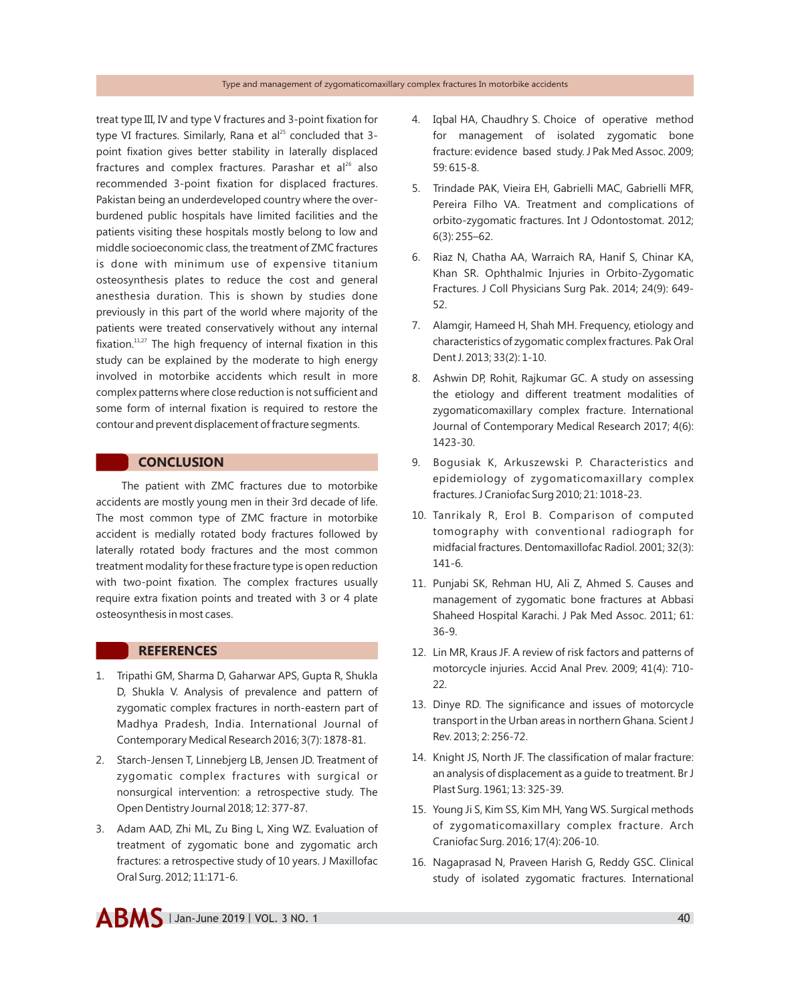#### Type and management of zygomaticomaxillary complex fractures In motorbike accidents

treat type III, IV and type V fractures and 3-point fixation for type VI fractures. Similarly, Rana et al<sup>25</sup> concluded that 3point fixation gives better stability in laterally displaced fractures and complex fractures. Parashar et al<sup>26</sup> also recommended 3-point fixation for displaced fractures. Pakistan being an underdeveloped country where the overburdened public hospitals have limited facilities and the patients visiting these hospitals mostly belong to low and middle socioeconomic class, the treatment of ZMC fractures is done with minimum use of expensive titanium osteosynthesis plates to reduce the cost and general anesthesia duration. This is shown by studies done previously in this part of the world where majority of the patients were treated conservatively without any internal fixation. $11,27$  The high frequency of internal fixation in this study can be explained by the moderate to high energy involved in motorbike accidents which result in more complex patterns where close reduction is not sufficient and some form of internal fixation is required to restore the contour and prevent displacement of fracture segments.

## **CONCLUSION**

The patient with ZMC fractures due to motorbike accidents are mostly young men in their 3rd decade of life. The most common type of ZMC fracture in motorbike accident is medially rotated body fractures followed by laterally rotated body fractures and the most common treatment modality for these fracture type is open reduction with two-point fixation. The complex fractures usually require extra fixation points and treated with 3 or 4 plate osteosynthesis in most cases.

# **REFERENCES**

- 1. Tripathi GM, Sharma D, Gaharwar APS, Gupta R, Shukla D, Shukla V. Analysis of prevalence and pattern of zygomatic complex fractures in north-eastern part of Madhya Pradesh, India. International Journal of Contemporary Medical Research 2016; 3(7): 1878-81.
- 2. Starch-Jensen T, Linnebjerg LB, Jensen JD. Treatment of zygomatic complex fractures with surgical or nonsurgical intervention: a retrospective study. The Open Dentistry Journal 2018; 12: 377-87.
- 3. Adam AAD, Zhi ML, Zu Bing L, Xing WZ. Evaluation of treatment of zygomatic bone and zygomatic arch fractures: a retrospective study of 10 years. J Maxillofac Oral Surg. 2012; 11:171-6.
- 4. Iqbal HA, Chaudhry S. Choice of operative method for management of isolated zygomatic bone fracture: evidence based study. J Pak Med Assoc. 2009; 59: 615-8.
- 5. Trindade PAK, Vieira EH, Gabrielli MAC, Gabrielli MFR, Pereira Filho VA. Treatment and complications of orbito-zygomatic fractures. Int J Odontostomat. 2012; 6(3): 255–62.
- 6. Riaz N, Chatha AA, Warraich RA, Hanif S, Chinar KA, Khan SR. Ophthalmic Injuries in Orbito-Zygomatic Fractures. J Coll Physicians Surg Pak. 2014; 24(9): 649- 52.
- 7. Alamgir, Hameed H, Shah MH. Frequency, etiology and characteristics of zygomatic complex fractures. Pak Oral Dent J. 2013; 33(2): 1-10.
- 8. Ashwin DP, Rohit, Rajkumar GC. A study on assessing the etiology and different treatment modalities of zygomaticomaxillary complex fracture. International Journal of Contemporary Medical Research 2017; 4(6): 1423-30.
- 9. Bogusiak K, Arkuszewski P. Characteristics and epidemiology of zygomaticomaxillary complex fractures. J Craniofac Surg 2010; 21: 1018-23.
- 10. Tanrikaly R, Erol B. Comparison of computed tomography with conventional radiograph for midfacial fractures. Dentomaxillofac Radiol. 2001; 32(3): 141-6.
- 11. Punjabi SK, Rehman HU, Ali Z, Ahmed S. Causes and management of zygomatic bone fractures at Abbasi Shaheed Hospital Karachi. J Pak Med Assoc. 2011; 61: 36-9.
- 12. Lin MR, Kraus JF. A review of risk factors and patterns of motorcycle injuries. Accid Anal Prev. 2009; 41(4): 710- 22.
- 13. Dinye RD. The significance and issues of motorcycle transport in the Urban areas in northern Ghana. Scient J Rev. 2013; 2: 256-72.
- 14. Knight JS, North JF. The classification of malar fracture: an analysis of displacement as a guide to treatment. Br J Plast Surg. 1961; 13: 325-39.
- 15. Young Ji S, Kim SS, Kim MH, Yang WS. Surgical methods of zygomaticomaxillary complex fracture. Arch Craniofac Surg. 2016; 17(4): 206-10.
- 16. Nagaprasad N, Praveen Harish G, Reddy GSC. Clinical study of isolated zygomatic fractures. International